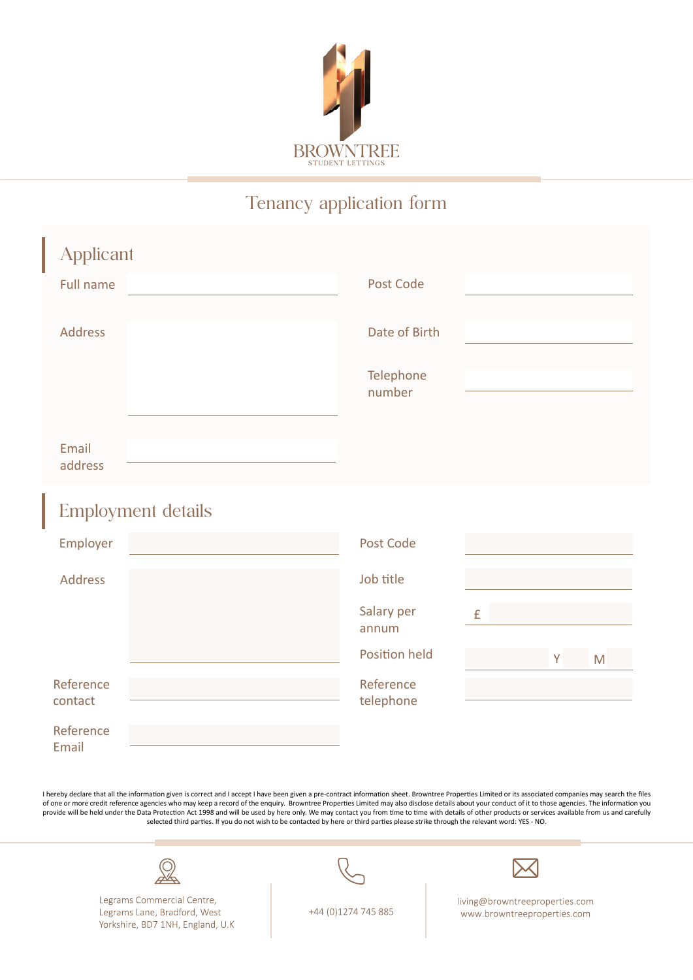

## Tenancy application form

| <b>Applicant</b>          |                     |
|---------------------------|---------------------|
| Full name                 | Post Code           |
| <b>Address</b>            | Date of Birth       |
|                           | Telephone<br>number |
| Email<br>address          |                     |
| <b>Employment details</b> |                     |
| Employer                  | Post Code           |
| <b>Address</b>            | Job title           |

| <b>AUULL</b>         | <b>JUN LILIC</b>       |        |
|----------------------|------------------------|--------|
|                      | Salary per<br>annum    | £      |
|                      | <b>Position held</b>   | M<br>V |
| Reference<br>contact | Reference<br>telephone |        |
| Reference<br>Email   |                        |        |

I hereby declare that all the information given is correct and I accept I have been given a pre-contract information sheet. Browntree Properties Limited or its associated companies may search the files of one or more credit reference agencies who may keep a record of the enquiry. Browntree Properties Limited may also disclose details about your conduct of it to those agencies. The information you provide will be held under the Data Protection Act 1998 and will be used by here only. We may contact you from time to time with details of other products or services available from us and carefully<br>selected third parties.



Legrams Commercial Centre, Legrams Lane, Bradford, West Yorkshire, BD7 1NH, England, U.K.



living@browntreeproperties.com www.browntreeproperties.com

+44 (0)1274 745 885